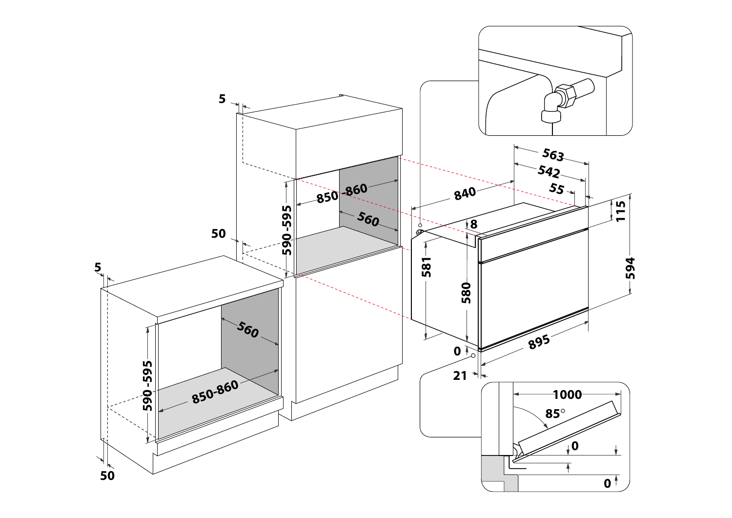